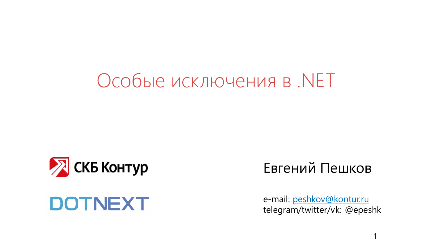## Особые исключения в .NET



#### **DOTNEXT**

#### Евгений Пешков

e-mail: [peshkov@kontur.ru](mailto:peshkov@kontur.ru) telegram/twitter/vk: @epeshk

1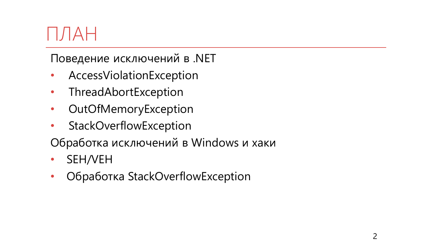## $\left| \right|$   $\left| \right|$   $\left| \right|$

Поведение исключений в .NET

- AccessViolationException
- ThreadAbortException
- OutOfMemoryException
- StackOverflowException

Обработка исключений в Windows и хаки

- SEH/VEH
- Обработка StackOverflowException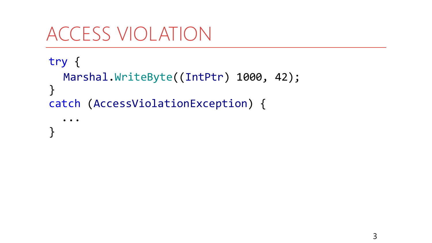```
try {
  Marshal.WriteByte((IntPtr) 1000, 42);
\}catch (AccessViolationException) {
```

```
}
```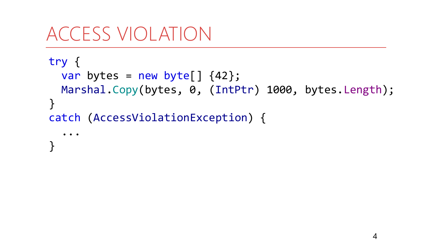```
try {
  var bytes = new byte[] \{42\};
  Marshal.Copy(bytes, 0, (IntPtr) 1000, bytes.Length);
}
catch (AccessViolationException) {
  ...
<u>}</u>
```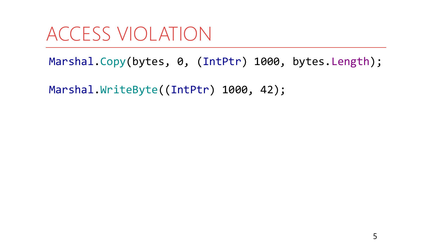Marshal.Copy(bytes, 0, (IntPtr) 1000, bytes.Length);

Marshal.WriteByte((IntPtr) 1000, 42);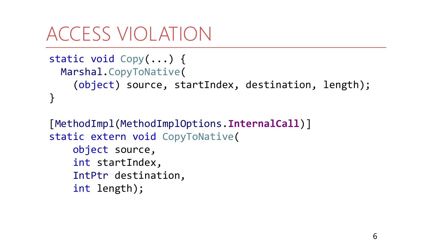```
static void Copy(...) {
 Marshal.CopyToNative(
    (object) source, startIndex, destination, length);
}
```

```
[MethodImpl(MethodImplOptions.InternalCall)]
static extern void CopyToNative(
    object source,
    int startIndex,
    IntPtr destination,
    int length);
```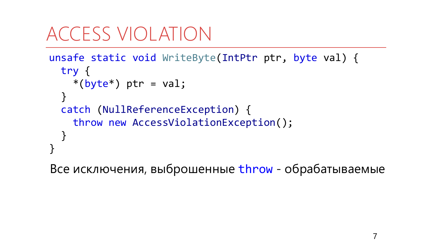```
unsafe static void WriteByte(IntPtr ptr, byte val) {
  try {
    *(byte*) ptr = val;
  }
  catch (NullReferenceException) {
    throw new AccessViolationException(); 
  }
}
```
Все исключения, выброшенные throw - обрабатываемые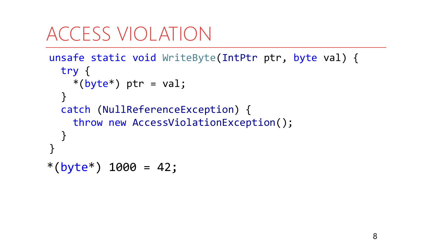```
unsafe static void WriteByte(IntPtr ptr, byte val) {
  try {
    *(byte*) ptr = val;
  }
  catch (NullReferenceException) {
    throw new AccessViolationException(); 
  }
<u>}</u>
*(byte*) 1000 = 42;
```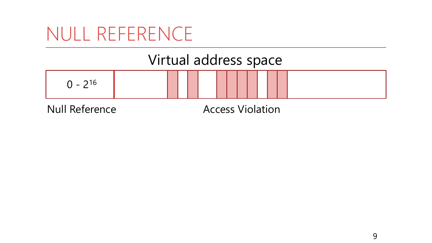## NULL REFERENCE

#### Virtual address space



Null Reference Access Violation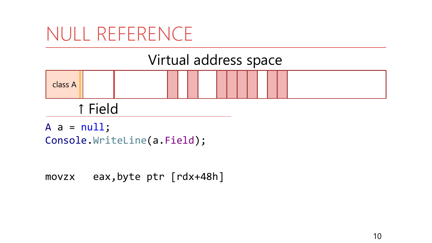## NULL REFERENCE

#### Virtual address space



#### ↑ Field

 $A$  a =  $null;$ Console.WriteLine(a.Field);

movzx eax,byte ptr [rdx+48h]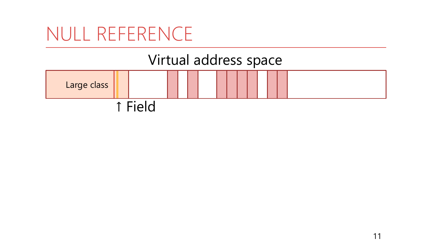### NULL REFERENCE

#### Virtual address space

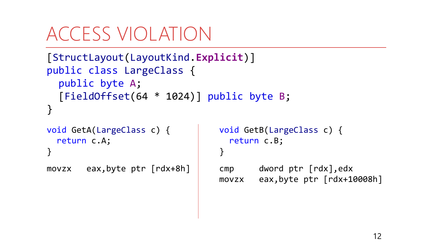```
[StructLayout(LayoutKind.Explicit)]
public class LargeClass {
  public byte A;
  [FieldOffset(64 * 1024)] public byte B;
}<br>}
```

```
void GetA(LargeClass c) {
  return c.A;
}
```

```
movzx eax,byte ptr [rdx+8h] cmp dword ptr [rdx],edx
```

```
void GetB(LargeClass c) {
  return c.B;
}
```

```
movzx eax,byte ptr [rdx+10008h]
```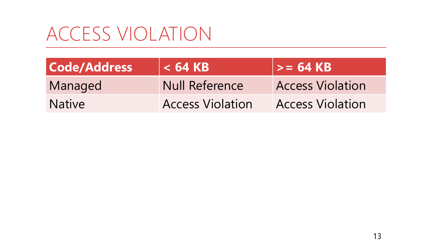| <b>Code/Address</b> | $<$ 64 KB               | $>= 64 KB$              |
|---------------------|-------------------------|-------------------------|
| Managed             | <b>Null Reference</b>   | <b>Access Violation</b> |
| <b>Native</b>       | <b>Access Violation</b> | <b>Access Violation</b> |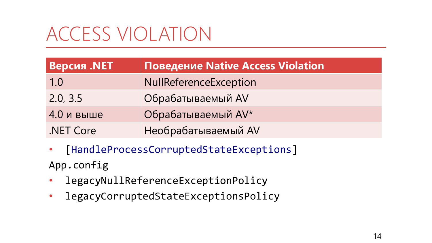| <b>Версия .NET</b> | <b>Поведение Native Access Violation</b> |
|--------------------|------------------------------------------|
| 1.0                | NullReferenceException                   |
| 2.0, 3.5           | Обрабатываемый AV                        |
| 4.0 и выше         | Обрабатываемый AV*                       |
| .NET Core          | Необрабатываемый AV                      |

- [HandleProcessCorruptedStateExceptions] App.config
- legacyNullReferenceExceptionPolicy
- legacyCorruptedStateExceptionsPolicy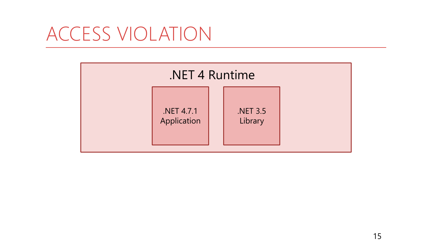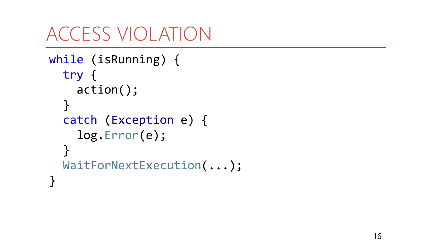```
while
(isRunning) {
  try
{
    action();
  }
  catch
(Exception e)
{
    log.Error(e);
  }
  WaitForNextExecution
(...);
}
```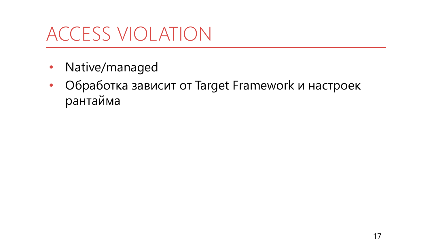- Native/managed
- Обработка зависит от Target Framework и настроек рантайма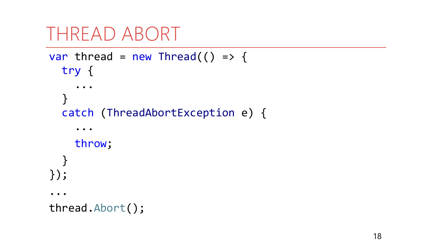```
THREAD ABORT
```

```
var thread = new Thread(() => {
   try {
   \mathcal{F}catch (ThreadAbortException e) {
       \bullet\quad\bullet\quad\bulletthrow;
    ļ
\});
 \bullet\quad \bullet\quad \bulletthread.Abort();
```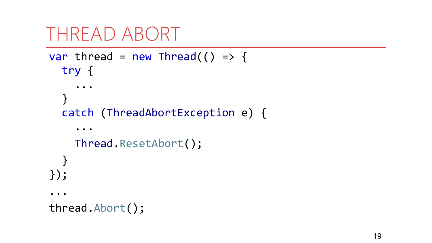```
THREAD ABORT
```

```
var thread = new Thread(() => {
   try {
   \mathcal{F}catch (ThreadAbortException e) {
       \bullet\quad\bullet\quad\bulletThread.ResetAbort();
    ļ
\});
 \bullet\quad \bullet\quad \bulletthread.Abort();
```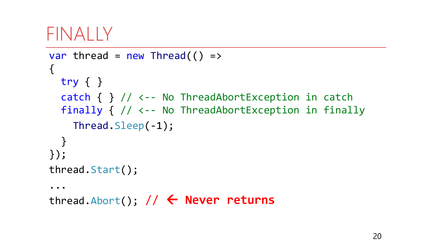#### FINALLY

```
var thread = new Thread( ) =>
{
  try { }
  catch { } // <-- No ThreadAbortException in catch
  finally { // <-- No ThreadAbortException in finally
    Thread.Sleep(-1);
  }
});
thread.Start();
\bullet\quad \bullet\quad \bulletthread.Abort(); 
//  Never returns
```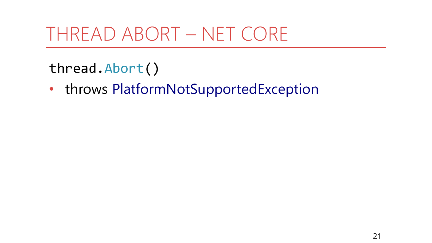## THREAD ABORT - NET CORE

#### thread.Abort()

• throws PlatformNotSupportedException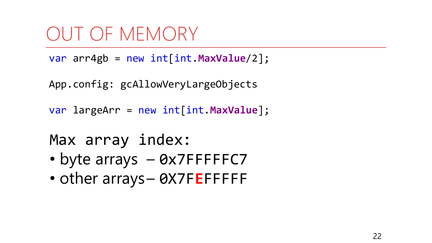```
var arr4gb = new int[int.MaxValue/2];
```

```
App.config: gcAllowVeryLargeObjects
```

```
var largeArr = new int[int.MaxValue];
```

```
Max array index:
```
- byte arrays 0x7FFFFFC7
- other arrays- 0X7FEFFFFF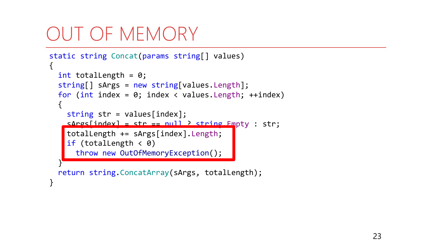```
static string Concat(params string[] values)
1
  int totalLength = 0;
  string[] sArgs = new string[values.Length];
  for (int index = 0; index < values. Length; ++index)
  {
    string str = values[index];
    sArg[index] = str == null ? string Empty: str;totalLength += sArgs[index].Length;
    if (totalLength \langle 0 \ranglethrow new OutOfMemoryException();
  }
  return string.ConcatArray(sArgs, totalLength);
}
```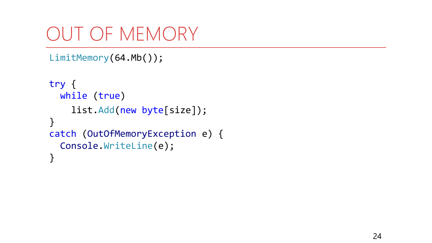```
LimitMemory(64.Mb());
```

```
try {
 while (true)
    list.Add(new byte[size]);
}
catch (OutOfMemoryException e) {
  Console.WriteLine(e);
}
```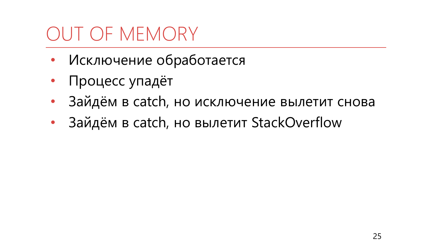- Исключение обработается
- Процесс упадёт
- Зайдём в catch, но исключение вылетит снова
- Зайдём в catch, но вылетит StackOverflow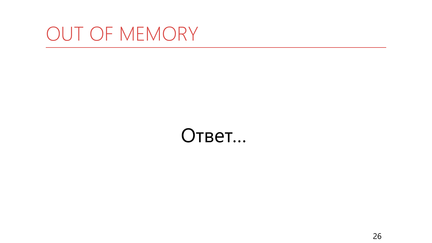#### Ответ…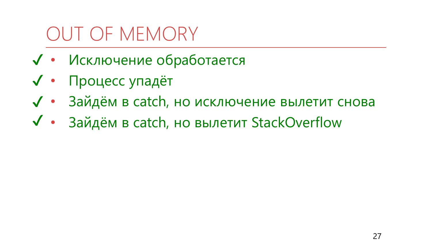- √ Исключение обработается
- √ Процесс упадёт
- √ Зайдём в catch, но исключение вылетит снова
- √ Зайдём в catch, но вылетит StackOverflow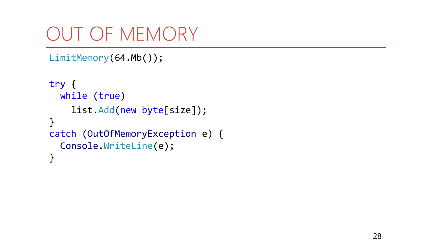```
LimitMemory(64.Mb());
```

```
try {
 while (true)
    list.Add(new byte[size]);
}
catch (OutOfMemoryException e) {
  Console.WriteLine(e);
}
```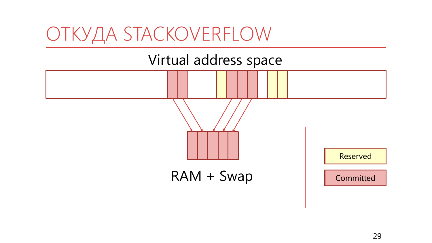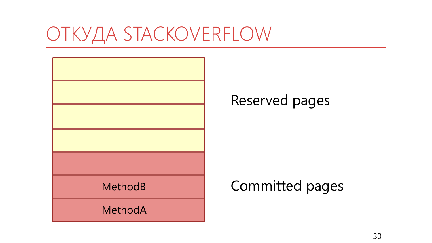# ОТКУДА STACKOVERFLOW

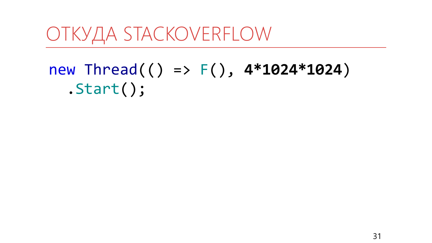#### ОТКУДА STACKOVERFLOW

#### new Thread(() =>  $F()$ , 4\*1024\*1024)  $. Start()$ ;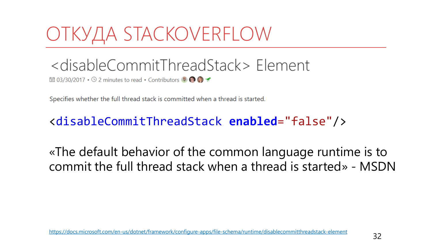# ОТКУДА STACKOVERFLOW

#### <disableCommitThreadStack> Element

**同** 03/30/2017 • ⊙ 2 minutes to read • Contributors ● ● ● で

Specifies whether the full thread stack is committed when a thread is started.

#### <disableCommitThreadStack **enabled**="false"/>

«The default behavior of the common language runtime is to commit the full thread stack when a thread is started» - MSDN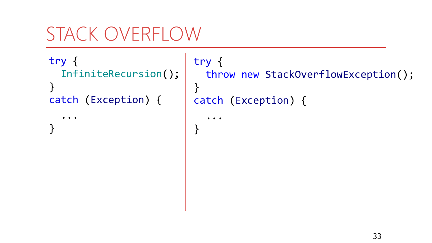# STACK OVERFLOW

try { InfiniteRecursion(); }<br>] catch (Exception) {

...

}<br>}

```
try {
 throw new StackOverflowException();
}
catch (Exception) {
```
 $\bullet\quad \bullet\quad \bullet$ 

}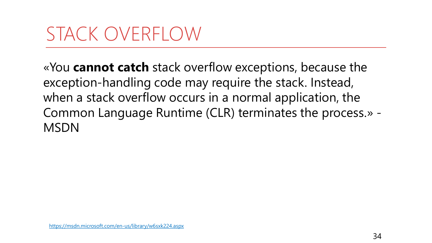## STACK OVERFLOW

«You **cannot catch** stack overflow exceptions, because the exception-handling code may require the stack. Instead, when a stack overflow occurs in a normal application, the Common Language Runtime (CLR) terminates the process.» - **MSDN**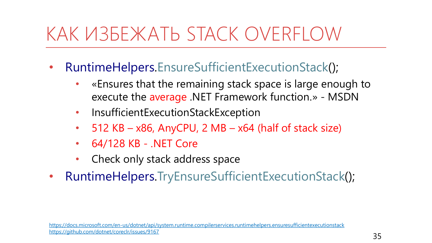# KAK ИЗБЕЖАТЬ STACK OVERFLOW

- RuntimeHelpers.EnsureSufficientExecutionStack();  $\bullet$ 
	- «Ensures that the remaining stack space is large enough to  $\bullet$ execute the average .NET Framework function.» - MSDN
	- InsufficientExecutionStackException  $\bullet$
	- 512 KB  $x86$ , AnyCPU, 2 MB  $x64$  (half of stack size)  $\bullet$
	- 64/128 KB .NET Core  $\bullet$
	- Check only stack address space
- RuntimeHelpers.TryEnsureSufficientExecutionStack();  $\bullet$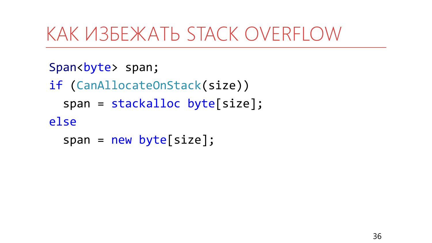## КАК ИЗБЕЖАТЬ STACK OVERFLOW

```
Span<br/>byte> span;
if (CanAllocateOnStack(size))
  span = stackalloc byte[size];else
  span = new byte[size];
```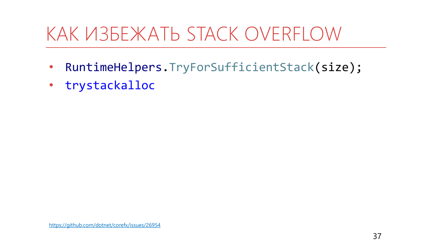# KAK ИЗБЕЖАТЬ STACK OVERFLOW

- RuntimeHelpers.TryForSufficientStack(size);  $\bullet$
- trystackalloc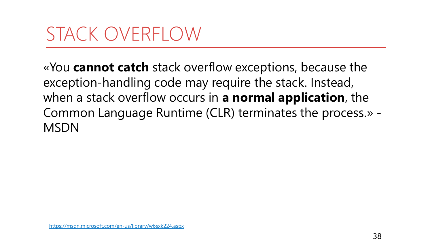## STACK OVERFLOW

«You **cannot catch** stack overflow exceptions, because the exception-handling code may require the stack. Instead, when a stack overflow occurs in **a normal application**, the Common Language Runtime (CLR) terminates the process.» - **MSDN**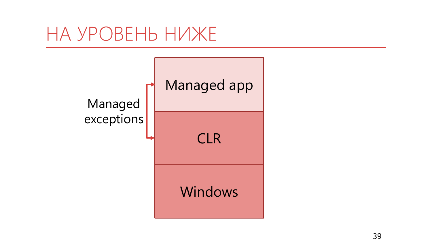#### НА УРОВЕНЬ НИЖЕ

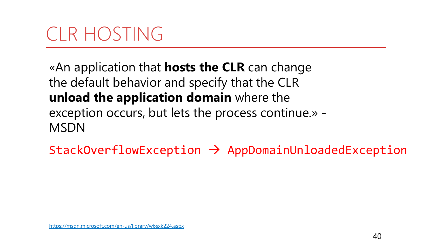# CLR HOSTING

«An application that **hosts the CLR** can change the default behavior and specify that the CLR **unload the application domain** where the exception occurs, but lets the process continue.» - MSDN

 $StackOverflowException$   $\rightarrow$  AppDomainUnloadedException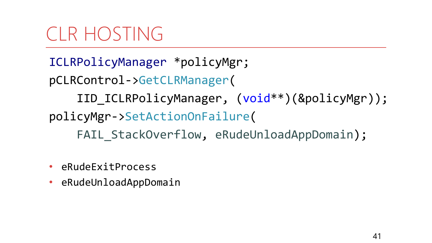# CLR HOSTING

ICLRPolicyManager \*policyMgr; pCLRControl->GetCLRManager( IID\_ICLRPolicyManager, (void\*\*)(&policyMgr)); policyMgr->SetActionOnFailure( FAIL StackOverflow, eRudeUnloadAppDomain);

- eRudeExitProcess
- eRudeUnloadAppDomain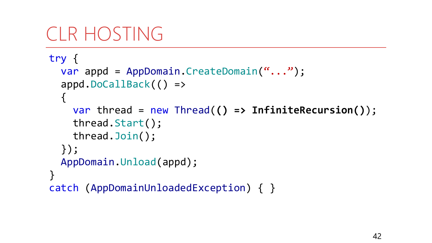## CLR HOSTING

```
try {
  var appd = AppDomain.CreateDomain("...");
  appd.DoCallBack(() =>
  \{var thread = new Thread(() => InfiniteRecursion());
    thread.Start();
    thread.Join();
  });
  AppDomain.Unload(appd);
}
catch (AppDomainUnloadedException) { }
```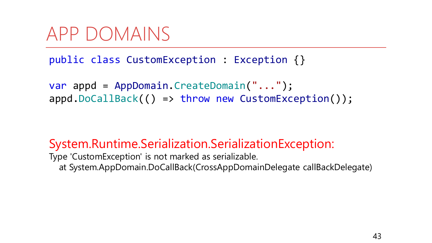#### APP DOMAINS

public class CustomException : Exception {}

var appd = AppDomain.CreateDomain("..."); appd.DoCallBack(() => throw new CustomException());

#### System.Runtime.Serialization.SerializationException:

Type 'CustomException' is not marked as serializable. at System.AppDomain.DoCallBack(CrossAppDomainDelegate callBackDelegate)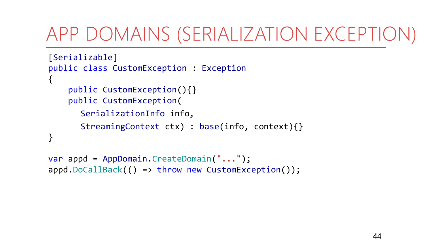# APP DOMAINS (SERIALIZATION EXCEPTION)

```
[Serializable]
public class CustomException : Exception
\{public CustomException(){}
    public CustomException(
      SerializationInfo info,
      StreamingContext ctx) : base(info, context){}
}
```

```
var appd = AppDomain.CreateDomain("...");
appd.DoCallBack(() => throw new CustomException());
```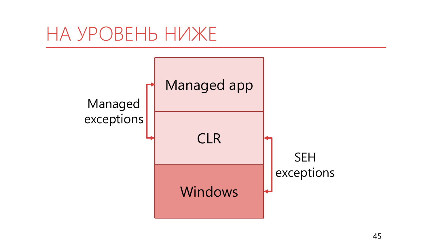#### НА УРОВЕНЬ НИЖЕ

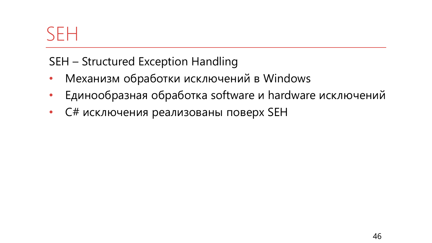#### **SFH**

SEH - Structured Exception Handling

- Механизм обработки исключений в Windows  $\bullet$
- Единообразная обработка software и hardware исключений  $\bullet$
- С# исключения реализованы поверх SEH  $\bullet$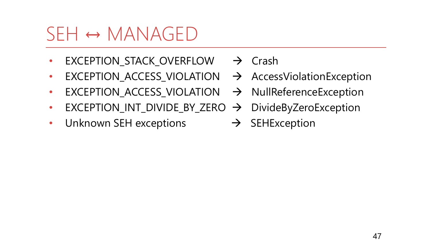## $SEH \leftrightarrow MANAGED$

- EXCEPTION\_STACK\_OVERFLOW  $\rightarrow$  Crash
- EXCEPTION\_ACCESS\_VIOLATION  $\rightarrow$  AccessViolationException
- EXCEPTION\_ACCESS\_VIOLATION  $\rightarrow$  NullReferenceException
- EXCEPTION\_INT\_DIVIDE\_BY\_ZERO  $\rightarrow$  DivideByZeroException
- Unknown SEH exceptions  $\rightarrow$  SEHException
- 
- 
- 
- 
-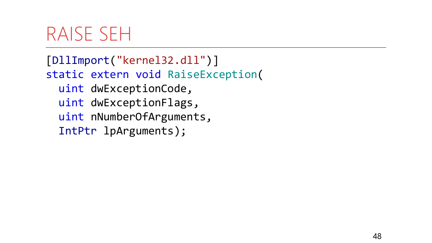#### RAISE SEH

[DllImport("kernel32.dll")] static extern void RaiseException( uint dwExceptionCode, uint dwExceptionFlags, uint nNumberOfArguments, IntPtr lpArguments);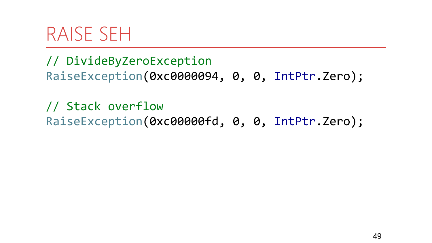#### RAISE SEH

// DivideByZeroException RaiseException(0xc0000094, 0, 0, IntPtr.Zero);

// Stack overflow RaiseException(0xc00000fd, 0, 0, IntPtr.Zero);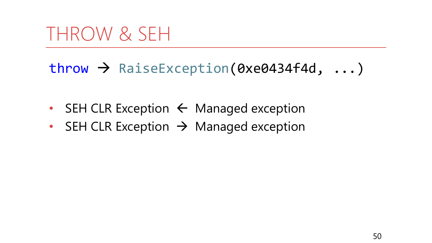## THROW & SEH

#### $\frac{1}{2}$  RaiseException(0xe0434f4d, ...)

- SEH CLR Exception  $\leftarrow$  Managed exception
- SEH CLR Exception  $\rightarrow$  Managed exception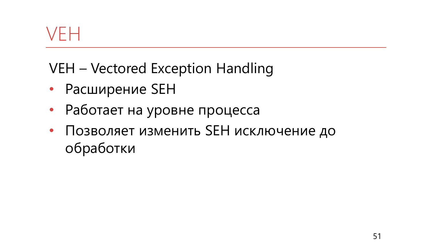#### VFH

VEH – Vectored Exception Handling

- Расширение SEH
- Работает на уровне процесса
- Позволяет изменить SEH исключение до обработки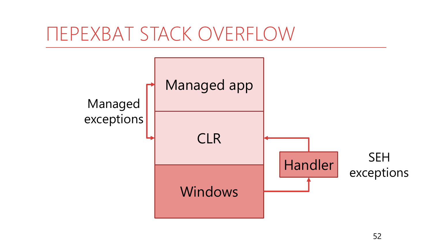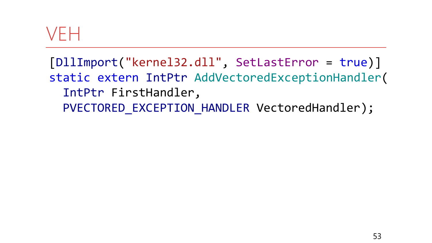#### VEH

[DllImport("kernel32.dll", SetLastError = true)] static extern IntPtr AddVectoredExceptionHandler( IntPtr FirstHandler, PVECTORED EXCEPTION\_HANDLER VectoredHandler);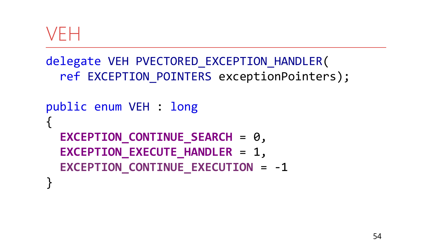#### VEH

```
delegate VEH PVECTORED_EXCEPTION_HANDLER(
  ref EXCEPTION POINTERS exceptionPointers);
public enum VEH : long
{
  EXCEPTION CONTINUE SEARCH = 0,
  EXCEPTION EXECUTE HANDLER = 1,
  EXCEPTION CONTINUE EXECUTION = -1
}
```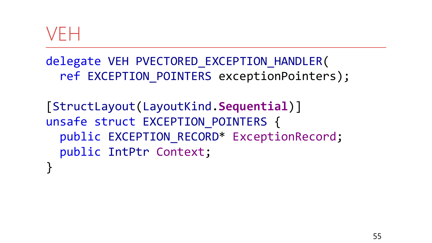#### VEH

delegate VEH PVECTORED\_EXCEPTION\_HANDLER( ref EXCEPTION\_POINTERS exceptionPointers);

[StructLayout(LayoutKind.**Sequential**)] unsafe struct EXCEPTION POINTERS { public EXCEPTION RECORD\* ExceptionRecord; public IntPtr Context; }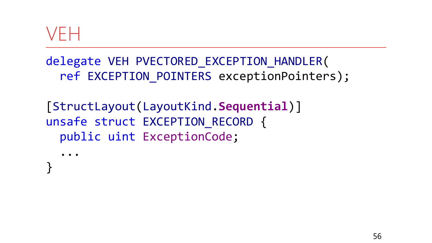#### VFH

delegate VEH PVECTORED EXCEPTION HANDLER( ref EXCEPTION POINTERS exceptionPointers);

[StructLayout(LayoutKind.Sequential)] unsafe struct EXCEPTION RECORD { public uint ExceptionCode;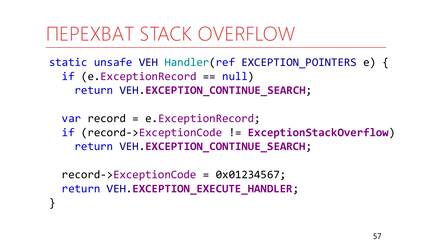static unsafe VEH Handler(ref EXCEPTION POINTERS e) { if (e.ExceptionRecord == null) return VEH.**EXCEPTION\_CONTINUE\_SEARCH**;

var record = e.ExceptionRecord; if (record->ExceptionCode != **ExceptionStackOverflow**) return VEH.**EXCEPTION\_CONTINUE\_SEARCH**;

record->ExceptionCode = 0x01234567; return VEH.**EXCEPTION\_EXECUTE\_HANDLER**;

}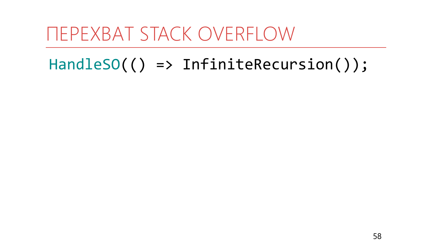#### **ΠΕΡΕΧΒΑΤ STACK OVERFLOW**

#### $HandlesO(() \Rightarrow InfiniteRecursion())$ ;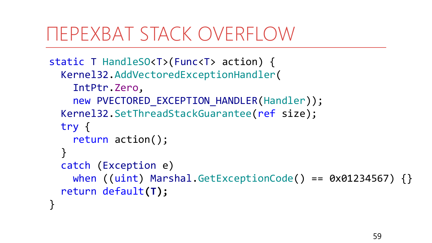```
static T HandleSO<T>(Func<T> action) {
  Kernel32.AddVectoredExceptionHandler(
    IntPtr.Zero, 
    new PVECTORED EXCEPTION HANDLER(Handler));
  Kernel32.SetThreadStackGuarantee(ref size);
  try {
    return action();
  }
  catch (Exception e)
    when ((uint) Marshal.GetExceptionCode() == 0x01234567) {}
  return default(T);
}
```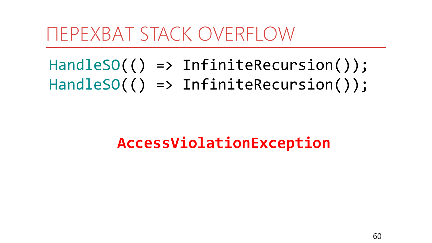HandleSO(() => InfiniteRecursion()); HandleSO(() => InfiniteRecursion());

#### **AccessViolationException**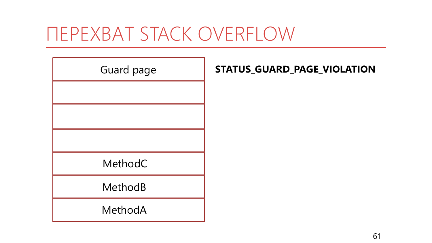MethodA MethodB MethodC Guard page **STATUS\_GUARD\_PAGE\_VIOLATION**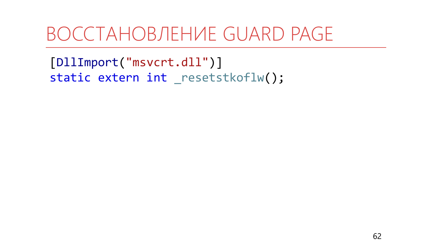#### ВОССТАНОВЛЕНИЕ GUARD PAGE

[DllImport("msvcrt.dll")] static extern int \_resetstkoflw();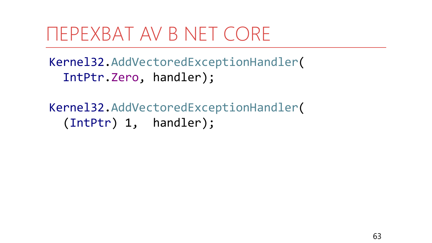### **TEPEXBAT AV B NET CORE**

Kernel32.AddVectoredExceptionHandler( IntPtr.Zero, handler);

Kernel32.AddVectoredExceptionHandler( (IntPtr) 1, handler);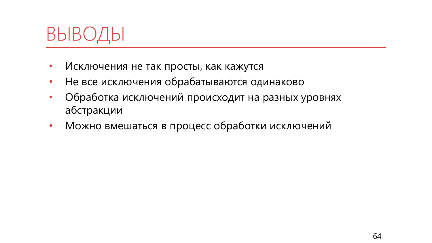

- Исключения не так просты, как кажутся
- Не все исключения обрабатываются одинаково
- Обработка исключений происходит на разных уровнях абстракции
- Можно вмешаться в процесс обработки исключений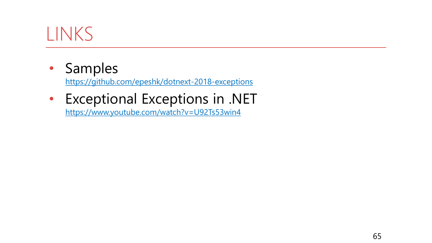#### LINKS

• Samples

<https://github.com/epeshk/dotnext-2018-exceptions>

• Exceptional Exceptions in .NET

<https://www.youtube.com/watch?v=U92Ts53win4>